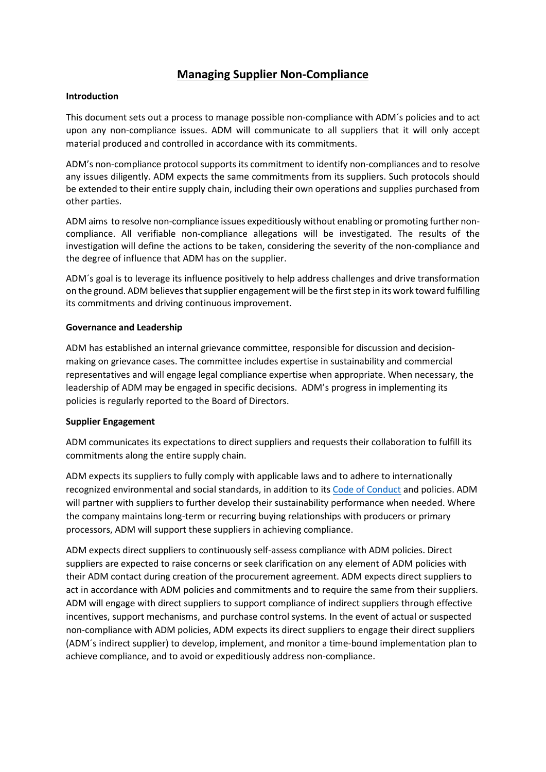# **Managing Supplier Non-Compliance**

### **Introduction**

This document sets out a process to manage possible non-compliance with ADM´s policies and to act upon any non-compliance issues. ADM will communicate to all suppliers that it will only accept material produced and controlled in accordance with its commitments.

ADM's non-compliance protocol supports its commitment to identify non-compliances and to resolve any issues diligently. ADM expects the same commitments from its suppliers. Such protocols should be extended to their entire supply chain, including their own operations and supplies purchased from other parties.

ADM aims to resolve non-compliance issues expeditiously without enabling or promoting further noncompliance. All verifiable non-compliance allegations will be investigated. The results of the investigation will define the actions to be taken, considering the severity of the non-compliance and the degree of influence that ADM has on the supplier.

ADM´s goal is to leverage its influence positively to help address challenges and drive transformation on the ground. ADM believesthat supplier engagement will be the first step in its work toward fulfilling its commitments and driving continuous improvement.

### **Governance and Leadership**

ADM has established an internal grievance committee, responsible for discussion and decisionmaking on grievance cases. The committee includes expertise in sustainability and commercial representatives and will engage legal compliance expertise when appropriate. When necessary, the leadership of ADM may be engaged in specific decisions. ADM's progress in implementing its policies is regularly reported to the Board of Directors.

#### **Supplier Engagement**

ADM communicates its expectations to direct suppliers and requests their collaboration to fulfill its commitments along the entire supply chain.

ADM expects its suppliers to fully comply with applicable laws and to adhere to internationally recognized environmental and social standards, in addition to its [Code of Conduct](https://www.adm.com/our-company/the-adm-way/code-of-conduct) and policies. ADM will partner with suppliers to further develop their sustainability performance when needed. Where the company maintains long-term or recurring buying relationships with producers or primary processors, ADM will support these suppliers in achieving compliance.

ADM expects direct suppliers to continuously self-assess compliance with ADM policies. Direct suppliers are expected to raise concerns or seek clarification on any element of ADM policies with their ADM contact during creation of the procurement agreement. ADM expects direct suppliers to act in accordance with ADM policies and commitments and to require the same from their suppliers. ADM will engage with direct suppliers to support compliance of indirect suppliers through effective incentives, support mechanisms, and purchase control systems. In the event of actual or suspected non-compliance with ADM policies, ADM expects its direct suppliers to engage their direct suppliers (ADM´s indirect supplier) to develop, implement, and monitor a time-bound implementation plan to achieve compliance, and to avoid or expeditiously address non-compliance.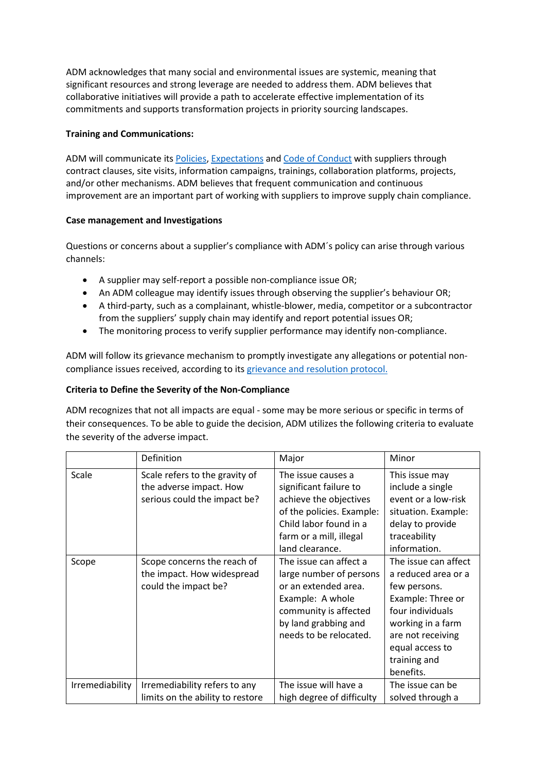ADM acknowledges that many social and environmental issues are systemic, meaning that significant resources and strong leverage are needed to address them. ADM believes that collaborative initiatives will provide a path to accelerate effective implementation of its commitments and supports transformation projects in priority sourcing landscapes.

## **Training and Communications:**

ADM will communicate it[s Policies,](https://www.adm.com/sustainability/sustainability-progress-tracker/policies) [Expectations](https://www.adm.com/our-company/procurement/supplier-expectations) and [Code of Conduct](https://www.adm.com/our-company/the-adm-way/code-of-conduct) with suppliers through contract clauses, site visits, information campaigns, trainings, collaboration platforms, projects, and/or other mechanisms. ADM believes that frequent communication and continuous improvement are an important part of working with suppliers to improve supply chain compliance.

### **Case management and Investigations**

Questions or concerns about a supplier's compliance with ADM´s policy can arise through various channels:

- A supplier may self-report a possible non-compliance issue OR;
- An ADM colleague may identify issues through observing the supplier's behaviour OR;
- A third-party, such as a complainant, whistle-blower, media, competitor or a subcontractor from the suppliers' supply chain may identify and report potential issues OR;
- The monitoring process to verify supplier performance may identify non-compliance.

ADM will follow its grievance mechanism to promptly investigate any allegations or potential noncompliance issues received, according to its [grievance and resolution](https://www.adm.com/sustainability/sustainability-progress-tracker/issues-and-resolutions) protocol.

# **Criteria to Define the Severity of the Non-Compliance**

ADM recognizes that not all impacts are equal - some may be more serious or specific in terms of their consequences. To be able to guide the decision, ADM utilizes the following criteria to evaluate the severity of the adverse impact.

|                 | Definition                                                                                | Major                                                                                                                                                                       | Minor                                                                                                                                                                                          |
|-----------------|-------------------------------------------------------------------------------------------|-----------------------------------------------------------------------------------------------------------------------------------------------------------------------------|------------------------------------------------------------------------------------------------------------------------------------------------------------------------------------------------|
| Scale           | Scale refers to the gravity of<br>the adverse impact. How<br>serious could the impact be? | The issue causes a<br>significant failure to<br>achieve the objectives<br>of the policies. Example:<br>Child labor found in a<br>farm or a mill, illegal<br>land clearance. | This issue may<br>include a single<br>event or a low-risk<br>situation. Example:<br>delay to provide<br>traceability<br>information.                                                           |
| Scope           | Scope concerns the reach of<br>the impact. How widespread<br>could the impact be?         | The issue can affect a<br>large number of persons<br>or an extended area.<br>Example: A whole<br>community is affected<br>by land grabbing and<br>needs to be relocated.    | The issue can affect<br>a reduced area or a<br>few persons.<br>Example: Three or<br>four individuals<br>working in a farm<br>are not receiving<br>equal access to<br>training and<br>benefits. |
| Irremediability | Irremediability refers to any<br>limits on the ability to restore                         | The issue will have a<br>high degree of difficulty                                                                                                                          | The issue can be<br>solved through a                                                                                                                                                           |